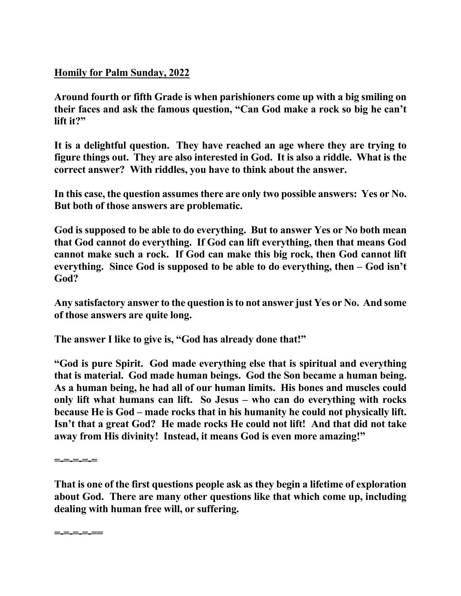## **Homily for Palm Sunday, 2022**

**Around fourth or fifth Grade is when parishioners come up with a big smiling on their faces and ask the famous question, "Can God make a rock so big he can't lift it?"**

**It is a delightful question. They have reached an age where they are trying to figure things out. They are also interested in God. It is also a riddle. What is the correct answer? With riddles, you have to think about the answer.** 

**In this case, the question assumes there are only two possible answers: Yes or No. But both of those answers are problematic.** 

**God is supposed to be able to do everything. But to answer Yes or No both mean that God cannot do everything. If God can lift everything, then that means God cannot make such a rock. If God can make this big rock, then God cannot lift everything. Since God is supposed to be able to do everything, then – God isn't God?** 

**Any satisfactory answer to the question is to not answer just Yes or No. And some of those answers are quite long.** 

**The answer I like to give is, "God has already done that!"** 

**"God is pure Spirit. God made everything else that is spiritual and everything that is material. God made human beings. God the Son became a human being. As a human being, he had all of our human limits. His bones and muscles could only lift what humans can lift. So Jesus – who can do everything with rocks because He is God – made rocks that in his humanity he could not physically lift. Isn't that a great God? He made rocks He could not lift! And that did not take away from His divinity! Instead, it means God is even more amazing!"** 

**=-=-=-=-=** 

**That is one of the first questions people ask as they begin a lifetime of exploration about God. There are many other questions like that which come up, including dealing with human free will, or suffering.** 

**=-=-=-=-==**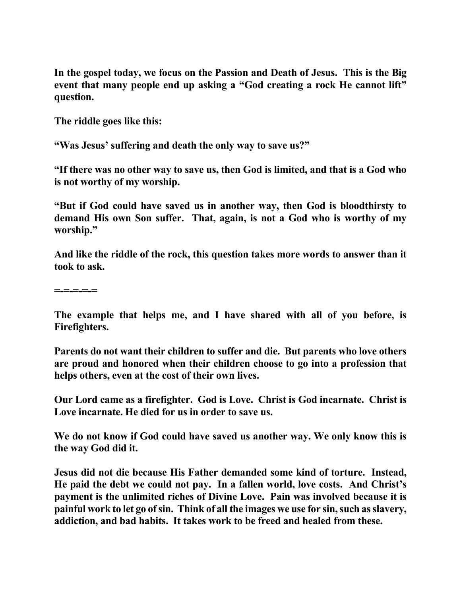**In the gospel today, we focus on the Passion and Death of Jesus. This is the Big event that many people end up asking a "God creating a rock He cannot lift" question.** 

**The riddle goes like this:** 

**"Was Jesus' suffering and death the only way to save us?"** 

**"If there was no other way to save us, then God is limited, and that is a God who is not worthy of my worship.** 

**"But if God could have saved us in another way, then God is bloodthirsty to demand His own Son suffer. That, again, is not a God who is worthy of my worship."** 

**And like the riddle of the rock, this question takes more words to answer than it took to ask.** 

**=-=-=-=-=** 

**The example that helps me, and I have shared with all of you before, is Firefighters.** 

**Parents do not want their children to suffer and die. But parents who love others are proud and honored when their children choose to go into a profession that helps others, even at the cost of their own lives.** 

**Our Lord came as a firefighter. God is Love. Christ is God incarnate. Christ is Love incarnate. He died for us in order to save us.** 

**We do not know if God could have saved us another way. We only know this is the way God did it.** 

**Jesus did not die because His Father demanded some kind of torture. Instead, He paid the debt we could not pay. In a fallen world, love costs. And Christ's payment is the unlimited riches of Divine Love. Pain was involved because it is painful work to let go of sin. Think of all the images we use for sin, such as slavery, addiction, and bad habits. It takes work to be freed and healed from these.**